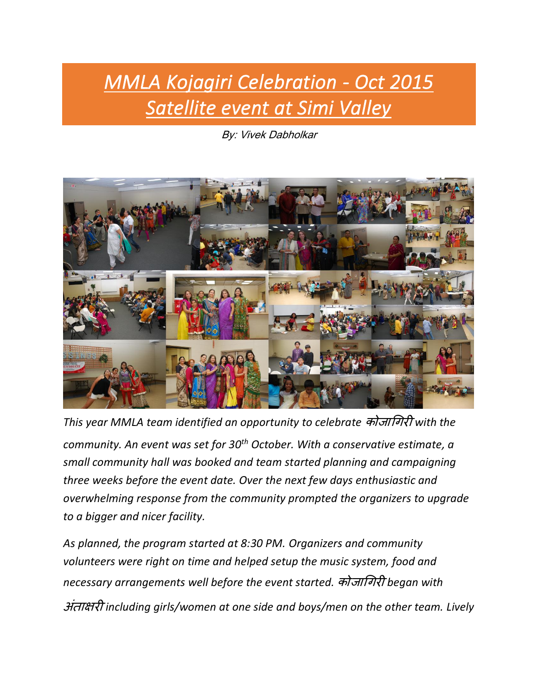## *MMLA Kojagiri Celebration - Oct 2015 Satellite event at Simi Valley*

By: Vivek Dabholkar



*This year MMLA team identified an opportunity to celebrate* कोजागिरी *with the community. An event was set for 30th October. With a conservative estimate, a small community hall was booked and team started planning and campaigning three weeks before the event date. Over the next few days enthusiastic and overwhelming response from the community prompted the organizers to upgrade to a bigger and nicer facility.* 

*As planned, the program started at 8:30 PM. Organizers and community volunteers were right on time and helped setup the music system, food and necessary arrangements well before the event started.* कोजागिरी *began with*  अंताक्षरी *including girls/women at one side and boys/men on the other team. Lively*